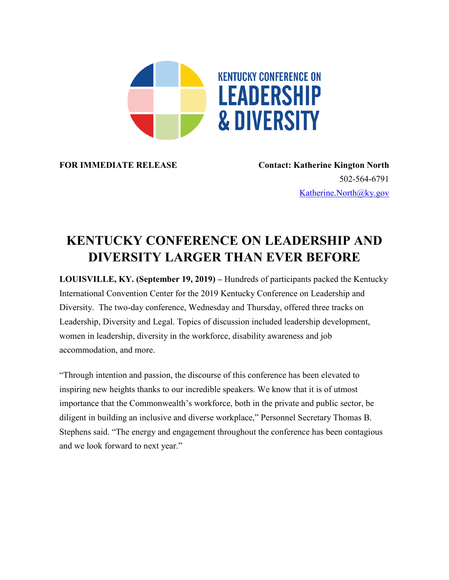

**FOR IMMEDIATE RELEASE Contact: Katherine Kington North** 502-564-6791 [Katherine.North@ky.gov](mailto:LaDonna.Koebel.ky.gov)

## **KENTUCKY CONFERENCE ON LEADERSHIP AND DIVERSITY LARGER THAN EVER BEFORE**

**LOUISVILLE, KY. (September 19, 2019) –** Hundreds of participants packed the Kentucky International Convention Center for the 2019 Kentucky Conference on Leadership and Diversity. The two-day conference, Wednesday and Thursday, offered three tracks on Leadership, Diversity and Legal. Topics of discussion included leadership development, women in leadership, diversity in the workforce, disability awareness and job accommodation, and more.

"Through intention and passion, the discourse of this conference has been elevated to inspiring new heights thanks to our incredible speakers. We know that it is of utmost importance that the Commonwealth's workforce, both in the private and public sector, be diligent in building an inclusive and diverse workplace," Personnel Secretary Thomas B. Stephens said. "The energy and engagement throughout the conference has been contagious and we look forward to next year."